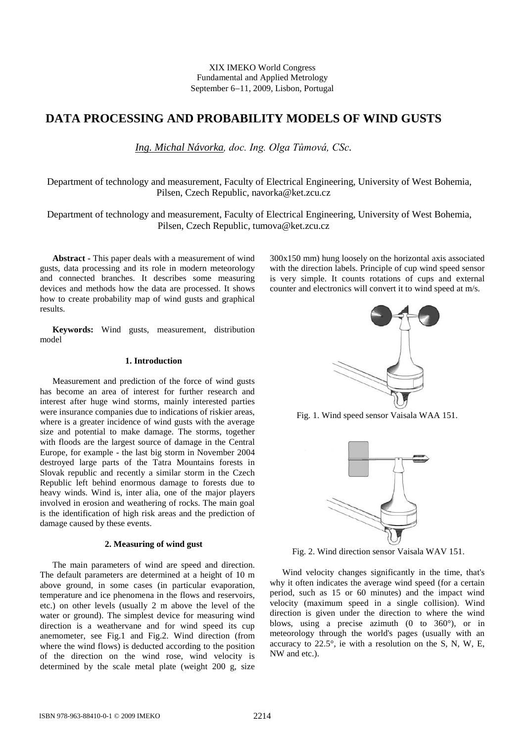XIX IMEKO World Congress Fundamental and Applied Metrology September 6−11, 2009, Lisbon, Portugal

# **DATA PROCESSING AND PROBABILITY MODELS OF WIND GUSTS**

*Ing. Michal Návorka, doc. Ing. Olga Tůmová, CSc.*

 Department of technology and measurement, Faculty of Electrical Engineering, University of West Bohemia, Pilsen, Czech Republic, navorka@ket.zcu.cz

 Department of technology and measurement, Faculty of Electrical Engineering, University of West Bohemia, Pilsen, Czech Republic, tumova@ket.zcu.cz

**Abstract -** This paper deals with a measurement of wind gusts, data processing and its role in modern meteorology and connected branches. It describes some measuring devices and methods how the data are processed. It shows how to create probability map of wind gusts and graphical results.

**Keywords:** Wind gusts, measurement, distribution model

# **1. Introduction**

Measurement and prediction of the force of wind gusts has become an area of interest for further research and interest after huge wind storms, mainly interested parties were insurance companies due to indications of riskier areas, where is a greater incidence of wind gusts with the average size and potential to make damage. The storms, together with floods are the largest source of damage in the Central Europe, for example - the last big storm in November 2004 destroyed large parts of the Tatra Mountains forests in Slovak republic and recently a similar storm in the Czech Republic left behind enormous damage to forests due to heavy winds. Wind is, inter alia, one of the major players involved in erosion and weathering of rocks. The main goal is the identification of high risk areas and the prediction of damage caused by these events.

## **2. Measuring of wind gust**

The main parameters of wind are speed and direction. The default parameters are determined at a height of 10 m above ground, in some cases (in particular evaporation, temperature and ice phenomena in the flows and reservoirs, etc.) on other levels (usually 2 m above the level of the water or ground). The simplest device for measuring wind direction is a weathervane and for wind speed its cup anemometer, see Fig.1 and Fig.2. Wind direction (from where the wind flows) is deducted according to the position of the direction on the wind rose, wind velocity is determined by the scale metal plate (weight 200 g, size

300x150 mm) hung loosely on the horizontal axis associated with the direction labels. Principle of cup wind speed sensor is very simple. It counts rotations of cups and external counter and electronics will convert it to wind speed at m/s.



Fig. 1. Wind speed sensor Vaisala WAA 151.



Fig. 2. Wind direction sensor Vaisala WAV 151.

Wind velocity changes significantly in the time, that's why it often indicates the average wind speed (for a certain period, such as 15 or 60 minutes) and the impact wind velocity (maximum speed in a single collision). Wind direction is given under the direction to where the wind blows, using a precise azimuth (0 to 360°), or in meteorology through the world's pages (usually with an accuracy to 22.5°, ie with a resolution on the S, N, W, E, NW and etc.).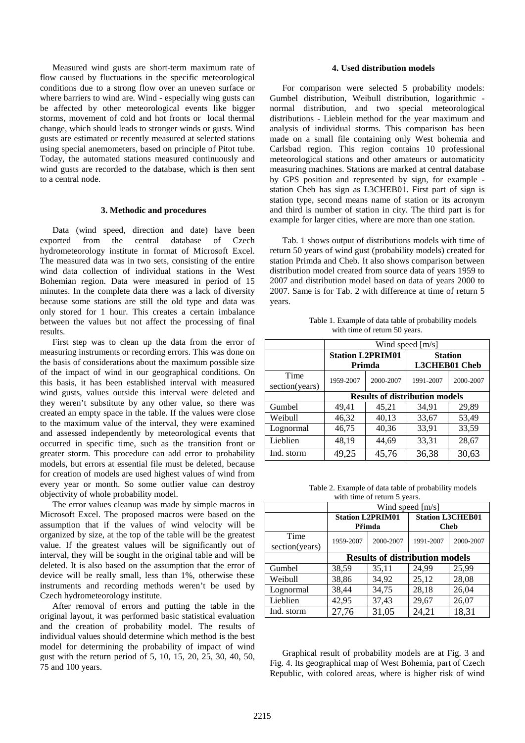Measured wind gusts are short-term maximum rate of flow caused by fluctuations in the specific meteorological conditions due to a strong flow over an uneven surface or where barriers to wind are. Wind - especially wing gusts can be affected by other meteorological events like bigger storms, movement of cold and hot fronts or local thermal change, which should leads to stronger winds or gusts. Wind gusts are estimated or recently measured at selected stations using special anemometers, based on principle of Pitot tube. Today, the automated stations measured continuously and wind gusts are recorded to the database, which is then sent to a central node.

## **3. Methodic and procedures**

Data (wind speed, direction and date) have been exported from the central database of Czech hydrometeorology institute in format of Microsoft Excel. The measured data was in two sets, consisting of the entire wind data collection of individual stations in the West Bohemian region. Data were measured in period of 15 minutes. In the complete data there was a lack of diversity because some stations are still the old type and data was only stored for 1 hour. This creates a certain imbalance between the values but not affect the processing of final results.

First step was to clean up the data from the error of measuring instruments or recording errors. This was done on the basis of considerations about the maximum possible size of the impact of wind in our geographical conditions. On this basis, it has been established interval with measured wind gusts, values outside this interval were deleted and they weren't substitute by any other value, so there was created an empty space in the table. If the values were close to the maximum value of the interval, they were examined and assessed independently by meteorological events that occurred in specific time, such as the transition front or greater storm. This procedure can add error to probability models, but errors at essential file must be deleted, because for creation of models are used highest values of wind from every year or month. So some outlier value can destroy objectivity of whole probability model.

The error values cleanup was made by simple macros in Microsoft Excel. The proposed macros were based on the assumption that if the values of wind velocity will be organized by size, at the top of the table will be the greatest value. If the greatest values will be significantly out of interval, they will be sought in the original table and will be deleted. It is also based on the assumption that the error of device will be really small, less than 1%, otherwise these instruments and recording methods weren't be used by Czech hydrometeorology institute.

After removal of errors and putting the table in the original layout, it was performed basic statistical evaluation and the creation of probability model. The results of individual values should determine which method is the best model for determining the probability of impact of wind gust with the return period of 5, 10, 15, 20, 25, 30, 40, 50, 75 and 100 years.

### **4. Used distribution models**

For comparison were selected 5 probability models: Gumbel distribution, Weibull distribution, logarithmic normal distribution, and two special meteorological distributions - Lieblein method for the year maximum and analysis of individual storms. This comparison has been made on a small file containing only West bohemia and Carlsbad region. This region contains 10 professional meteorological stations and other amateurs or automaticity measuring machines. Stations are marked at central database by GPS position and represented by sign, for example station Cheb has sign as L3CHEB01. First part of sign is station type, second means name of station or its acronym and third is number of station in city. The third part is for example for larger cities, where are more than one station.

Tab. 1 shows output of distributions models with time of return 50 years of wind gust (probability models) created for station Primda and Cheb. It also shows comparison between distribution model created from source data of years 1959 to 2007 and distribution model based on data of years 2000 to 2007. Same is for Tab. 2 with difference at time of return 5 years.

Table 1. Example of data table of probability models with time of return 50 years.

|                        | Wind speed $[m/s]$                    |           |                                 |           |  |
|------------------------|---------------------------------------|-----------|---------------------------------|-----------|--|
|                        | <b>Station L2PRIM01</b><br>Primda     |           | <b>Station</b><br>L3CHEB01 Cheb |           |  |
| Time<br>section(years) | 1959-2007                             | 2000-2007 | 1991-2007                       | 2000-2007 |  |
|                        | <b>Results of distribution models</b> |           |                                 |           |  |
| Gumbel                 | 49,41                                 | 45,21     | 34,91                           | 29,89     |  |
| Weibull                | 46,32                                 | 40,13     | 33,67                           | 53,49     |  |
| Lognormal              | 46,75                                 | 40,36     | 33,91                           | 33,59     |  |
| Lieblien               | 48,19                                 | 44,69     | 33,31                           | 28,67     |  |
| Ind. storm             | 49,25                                 | 45,76     | 36,38                           | 30,63     |  |

Table 2. Example of data table of probability models with time of return 5 years.

|                | Wind speed [m/s]                      |           |                                        |           |  |  |  |
|----------------|---------------------------------------|-----------|----------------------------------------|-----------|--|--|--|
|                | <b>Station L2PRIM01</b><br>Přimda     |           | <b>Station L3CHEB01</b><br><b>Cheb</b> |           |  |  |  |
|                |                                       |           |                                        |           |  |  |  |
| Time           | 1959-2007                             | 2000-2007 | 1991-2007                              | 2000-2007 |  |  |  |
| section(years) |                                       |           |                                        |           |  |  |  |
|                | <b>Results of distribution models</b> |           |                                        |           |  |  |  |
| Gumbel         | 38,59                                 | 35,11     | 24,99                                  | 25,99     |  |  |  |
| Weibull        | 38,86                                 | 34,92     | 25,12                                  | 28,08     |  |  |  |
| Lognormal      | 38,44                                 | 34,75     | 28,18                                  | 26,04     |  |  |  |
| Lieblien       | 42,95                                 | 37,43     | 29,67                                  | 26,07     |  |  |  |
| Ind. storm     | 27,76                                 | 31,05     | 24,21                                  | 18,31     |  |  |  |

Graphical result of probability models are at Fig. 3 and Fig. 4. Its geographical map of West Bohemia, part of Czech Republic, with colored areas, where is higher risk of wind